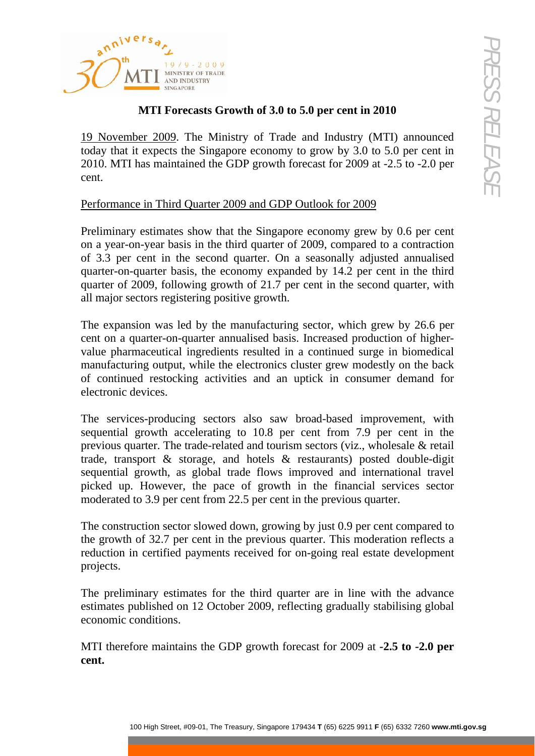

## **MTI Forecasts Growth of 3.0 to 5.0 per cent in 2010**

19 November 2009. The Ministry of Trade and Industry (MTI) announced today that it expects the Singapore economy to grow by 3.0 to 5.0 per cent in 2010. MTI has maintained the GDP growth forecast for 2009 at -2.5 to -2.0 per cent.

# Performance in Third Quarter 2009 and GDP Outlook for 2009

Preliminary estimates show that the Singapore economy grew by 0.6 per cent on a year-on-year basis in the third quarter of 2009, compared to a contraction of 3.3 per cent in the second quarter. On a seasonally adjusted annualised quarter-on-quarter basis, the economy expanded by 14.2 per cent in the third quarter of 2009, following growth of 21.7 per cent in the second quarter, with all major sectors registering positive growth.

The expansion was led by the manufacturing sector, which grew by 26.6 per cent on a quarter-on-quarter annualised basis. Increased production of highervalue pharmaceutical ingredients resulted in a continued surge in biomedical manufacturing output, while the electronics cluster grew modestly on the back of continued restocking activities and an uptick in consumer demand for electronic devices.

**10** High Street, and **100** High Street, and **100** High Street, and  $\frac{1}{2}$  (100 High Street in Transport Conducts Conduct the CDP growth forecast for 2009 at -2.5 to -2.0 per cent in Traposite conducts for  $\frac{1}{2}$  th The services-producing sectors also saw broad-based improvement, with sequential growth accelerating to 10.8 per cent from 7.9 per cent in the previous quarter. The trade-related and tourism sectors (viz., wholesale & retail trade, transport & storage, and hotels & restaurants) posted double-digit sequential growth, as global trade flows improved and international travel picked up. However, the pace of growth in the financial services sector moderated to 3.9 per cent from 22.5 per cent in the previous quarter.

The construction sector slowed down, growing by just 0.9 per cent compared to the growth of 32.7 per cent in the previous quarter. This moderation reflects a reduction in certified payments received for on-going real estate development projects.

The preliminary estimates for the third quarter are in line with the advance estimates published on 12 October 2009, reflecting gradually stabilising global economic conditions.

MTI therefore maintains the GDP growth forecast for 2009 at **-2.5 to -2.0 per cent.**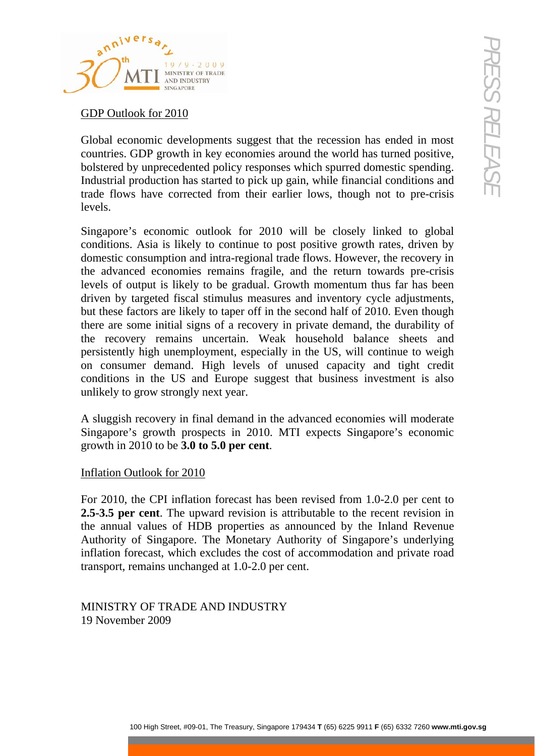

GDP Outlook for 2010

Global economic developments suggest that the recession has ended in most countries. GDP growth in key economies around the world has turned positive, bolstered by unprecedented policy responses which spurred domestic spending. Industrial production has started to pick up gain, while financial conditions and trade flows have corrected from their earlier lows, though not to pre-crisis levels.

**Example 19**<br> **Example 1901 And Content and Content and Content and Content and COD (COP) given that skep cononsis around the world identified to a standard point of the COD given the Street and point of the Construction** Singapore's economic outlook for 2010 will be closely linked to global conditions. Asia is likely to continue to post positive growth rates, driven by domestic consumption and intra-regional trade flows. However, the recovery in the advanced economies remains fragile, and the return towards pre-crisis levels of output is likely to be gradual. Growth momentum thus far has been driven by targeted fiscal stimulus measures and inventory cycle adjustments, but these factors are likely to taper off in the second half of 2010. Even though there are some initial signs of a recovery in private demand, the durability of the recovery remains uncertain. Weak household balance sheets and persistently high unemployment, especially in the US, will continue to weigh on consumer demand. High levels of unused capacity and tight credit conditions in the US and Europe suggest that business investment is also unlikely to grow strongly next year.

A sluggish recovery in final demand in the advanced economies will moderate Singapore's growth prospects in 2010. MTI expects Singapore's economic growth in 2010 to be **3.0 to 5.0 per cent**.

## Inflation Outlook for 2010

For 2010, the CPI inflation forecast has been revised from 1.0-2.0 per cent to **2.5-3.5 per cent**. The upward revision is attributable to the recent revision in the annual values of HDB properties as announced by the Inland Revenue Authority of Singapore. The Monetary Authority of Singapore's underlying inflation forecast, which excludes the cost of accommodation and private road transport, remains unchanged at 1.0-2.0 per cent.

MINISTRY OF TRADE AND INDUSTRY 19 November 2009